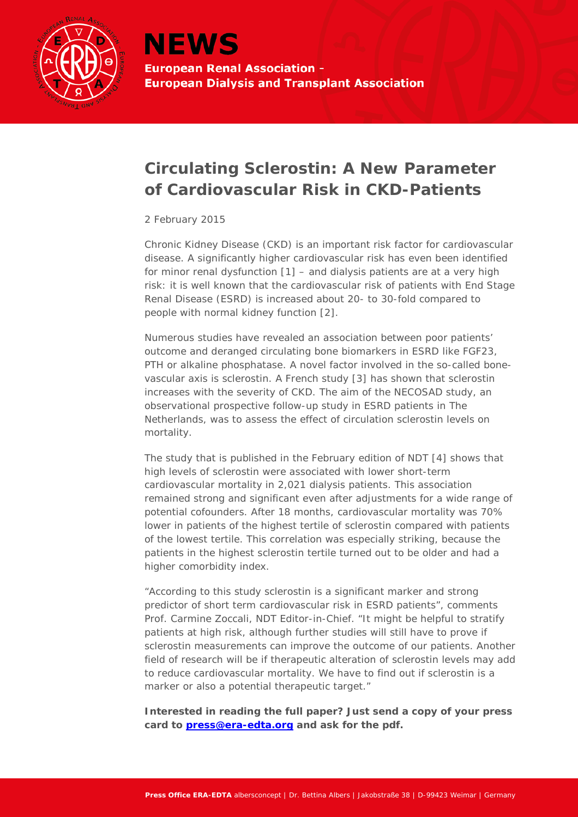

## **Circulating Sclerostin: A New Parameter of Cardiovascular Risk in CKD-Patients**

## *2 February 2015*

Chronic Kidney Disease (CKD) is an important risk factor for cardiovascular disease. A significantly higher cardiovascular risk has even been identified for minor renal dysfunction [1] – and dialysis patients are at a very high risk: it is well known that the cardiovascular risk of patients with End Stage Renal Disease (ESRD) is increased about 20- to 30-fold compared to people with normal kidney function [2].

Numerous studies have revealed an association between poor patients' outcome and deranged circulating bone biomarkers in ESRD like FGF23, PTH or alkaline phosphatase. A novel factor involved in the so-called bonevascular axis is sclerostin. A French study [3] has shown that sclerostin increases with the severity of CKD. The aim of the NECOSAD study, an observational prospective follow-up study in ESRD patients in The Netherlands, was to assess the effect of circulation sclerostin levels on mortality.

The study that is published in the February edition of NDT [4] shows that high levels of sclerostin were associated with lower short-term cardiovascular mortality in 2,021 dialysis patients. This association remained strong and significant even after adjustments for a wide range of potential cofounders. After 18 months, cardiovascular mortality was 70% lower in patients of the highest tertile of sclerostin compared with patients of the lowest tertile. This correlation was especially striking, because the patients in the highest sclerostin tertile turned out to be older and had a higher comorbidity index.

"According to this study sclerostin is a significant marker and strong predictor of short term cardiovascular risk in ESRD patients", comments Prof. Carmine Zoccali, NDT Editor-in-Chief. "It might be helpful to stratify patients at high risk, although further studies will still have to prove if sclerostin measurements can improve the outcome of our patients. Another field of research will be if therapeutic alteration of sclerostin levels may add to reduce cardiovascular mortality. We have to find out if sclerostin is a marker or also a potential therapeutic target."

**Interested in reading the full paper? Just send a copy of your press card to [press@era-edta.org](mailto:press@era-edta.org) and ask for the pdf.**